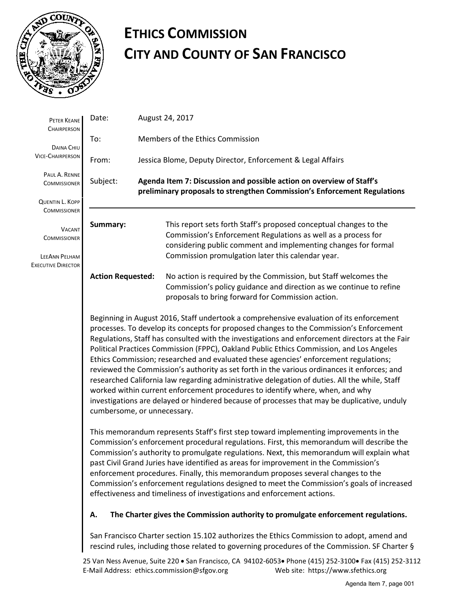

# **ETHICS COMMISSION CITY AND COUNTY OF SAN FRANCISCO**

| PETER KEANE<br><b>CHAIRPERSON</b>             | Date:                                                                                                                                                                                                                                                                                                                                                                                                                                                                                                                                                                                                                                                                                                                                                                                                                                                                                   | August 24, 2017                                                                                                                                                                                      |  |
|-----------------------------------------------|-----------------------------------------------------------------------------------------------------------------------------------------------------------------------------------------------------------------------------------------------------------------------------------------------------------------------------------------------------------------------------------------------------------------------------------------------------------------------------------------------------------------------------------------------------------------------------------------------------------------------------------------------------------------------------------------------------------------------------------------------------------------------------------------------------------------------------------------------------------------------------------------|------------------------------------------------------------------------------------------------------------------------------------------------------------------------------------------------------|--|
| DAINA CHIU                                    | To:                                                                                                                                                                                                                                                                                                                                                                                                                                                                                                                                                                                                                                                                                                                                                                                                                                                                                     | Members of the Ethics Commission                                                                                                                                                                     |  |
| <b>VICE-CHAIRPERSON</b>                       | From:                                                                                                                                                                                                                                                                                                                                                                                                                                                                                                                                                                                                                                                                                                                                                                                                                                                                                   | Jessica Blome, Deputy Director, Enforcement & Legal Affairs                                                                                                                                          |  |
| PAUL A. RENNE<br><b>COMMISSIONER</b>          | Agenda Item 7: Discussion and possible action on overview of Staff's<br>Subject:<br>preliminary proposals to strengthen Commission's Enforcement Regulations                                                                                                                                                                                                                                                                                                                                                                                                                                                                                                                                                                                                                                                                                                                            |                                                                                                                                                                                                      |  |
| <b>QUENTIN L. KOPP</b><br><b>COMMISSIONER</b> |                                                                                                                                                                                                                                                                                                                                                                                                                                                                                                                                                                                                                                                                                                                                                                                                                                                                                         |                                                                                                                                                                                                      |  |
| <b>VACANT</b><br><b>COMMISSIONER</b>          | Summary:                                                                                                                                                                                                                                                                                                                                                                                                                                                                                                                                                                                                                                                                                                                                                                                                                                                                                | This report sets forth Staff's proposed conceptual changes to the<br>Commission's Enforcement Regulations as well as a process for<br>considering public comment and implementing changes for formal |  |
| LEEANN PELHAM<br><b>EXECUTIVE DIRECTOR</b>    |                                                                                                                                                                                                                                                                                                                                                                                                                                                                                                                                                                                                                                                                                                                                                                                                                                                                                         | Commission promulgation later this calendar year.                                                                                                                                                    |  |
|                                               | <b>Action Requested:</b>                                                                                                                                                                                                                                                                                                                                                                                                                                                                                                                                                                                                                                                                                                                                                                                                                                                                | No action is required by the Commission, but Staff welcomes the<br>Commission's policy guidance and direction as we continue to refine<br>proposals to bring forward for Commission action.          |  |
|                                               | Beginning in August 2016, Staff undertook a comprehensive evaluation of its enforcement<br>processes. To develop its concepts for proposed changes to the Commission's Enforcement<br>Regulations, Staff has consulted with the investigations and enforcement directors at the Fair<br>Political Practices Commission (FPPC), Oakland Public Ethics Commission, and Los Angeles<br>Ethics Commission; researched and evaluated these agencies' enforcement regulations;<br>reviewed the Commission's authority as set forth in the various ordinances it enforces; and<br>researched California law regarding administrative delegation of duties. All the while, Staff<br>worked within current enforcement procedures to identify where, when, and why<br>investigations are delayed or hindered because of processes that may be duplicative, unduly<br>cumbersome, or unnecessary. |                                                                                                                                                                                                      |  |
|                                               | This memorandum represents Staff's first step toward implementing improvements in the<br>Commission's enforcement procedural regulations. First, this memorandum will describe the<br>Commission's authority to promulgate regulations. Next, this memorandum will explain what<br>past Civil Grand Juries have identified as areas for improvement in the Commission's<br>enforcement procedures. Finally, this memorandum proposes several changes to the<br>Commission's enforcement regulations designed to meet the Commission's goals of increased<br>effectiveness and timeliness of investigations and enforcement actions.                                                                                                                                                                                                                                                     |                                                                                                                                                                                                      |  |
|                                               | Α.                                                                                                                                                                                                                                                                                                                                                                                                                                                                                                                                                                                                                                                                                                                                                                                                                                                                                      | The Charter gives the Commission authority to promulgate enforcement regulations.                                                                                                                    |  |
|                                               | San Francisco Charter section 15.102 authorizes the Ethics Commission to adopt, amend and<br>rescind rules, including those related to governing procedures of the Commission. SF Charter §                                                                                                                                                                                                                                                                                                                                                                                                                                                                                                                                                                                                                                                                                             |                                                                                                                                                                                                      |  |

25 Van Ness Avenue, Suite 220 • San Francisco, CA 94102-6053• Phone (415) 252-3100• Fax (415) 252-3112<br>E-Mail Address: ethics.commission@sfgov.org Web site: https://www.sfethics.org E-Mail Address: ethics.commission@sfgov.org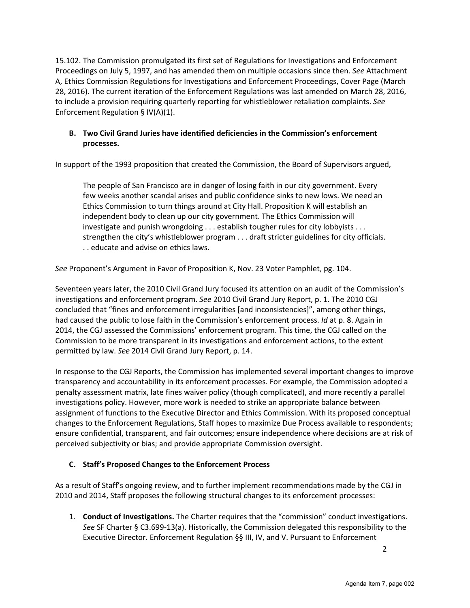15.102. The Commission promulgated its first set of Regulations for Investigations and Enforcement Proceedings on July 5, 1997, and has amended them on multiple occasions since then. *See* Attachment A, Ethics Commission Regulations for Investigations and Enforcement Proceedings, Cover Page (March 28, 2016). The current iteration of the Enforcement Regulations was last amended on March 28, 2016, to include a provision requiring quarterly reporting for whistleblower retaliation complaints. *See*  Enforcement Regulation § IV(A)(1).

#### **B. Two Civil Grand Juries have identified deficiencies in the Commission's enforcement processes.**

In support of the 1993 proposition that created the Commission, the Board of Supervisors argued,

The people of San Francisco are in danger of losing faith in our city government. Every few weeks another scandal arises and public confidence sinks to new lows. We need an Ethics Commission to turn things around at City Hall. Proposition K will establish an independent body to clean up our city government. The Ethics Commission will investigate and punish wrongdoing . . . establish tougher rules for city lobbyists . . . strengthen the city's whistleblower program . . . draft stricter guidelines for city officials. . . educate and advise on ethics laws.

*See* Proponent's Argument in Favor of Proposition K, Nov. 23 Voter Pamphlet, pg. 104.

Seventeen years later, the 2010 Civil Grand Jury focused its attention on an audit of the Commission's investigations and enforcement program. *See* 2010 Civil Grand Jury Report, p. 1. The 2010 CGJ concluded that "fines and enforcement irregularities [and inconsistencies]", among other things, had caused the public to lose faith in the Commission's enforcement process. *Id* at p. 8. Again in 2014, the CGJ assessed the Commissions' enforcement program. This time, the CGJ called on the Commission to be more transparent in its investigations and enforcement actions, to the extent permitted by law. *See* 2014 Civil Grand Jury Report, p. 14.

In response to the CGJ Reports, the Commission has implemented several important changes to improve transparency and accountability in its enforcement processes. For example, the Commission adopted a penalty assessment matrix, late fines waiver policy (though complicated), and more recently a parallel investigations policy. However, more work is needed to strike an appropriate balance between assignment of functions to the Executive Director and Ethics Commission. With its proposed conceptual changes to the Enforcement Regulations, Staff hopes to maximize Due Process available to respondents; ensure confidential, transparent, and fair outcomes; ensure independence where decisions are at risk of perceived subjectivity or bias; and provide appropriate Commission oversight.

#### **C. Staff's Proposed Changes to the Enforcement Process**

As a result of Staff's ongoing review, and to further implement recommendations made by the CGJ in 2010 and 2014, Staff proposes the following structural changes to its enforcement processes:

1. **Conduct of Investigations.** The Charter requires that the "commission" conduct investigations. *See* SF Charter § C3.699-13(a). Historically, the Commission delegated this responsibility to the Executive Director. Enforcement Regulation §§ III, IV, and V. Pursuant to Enforcement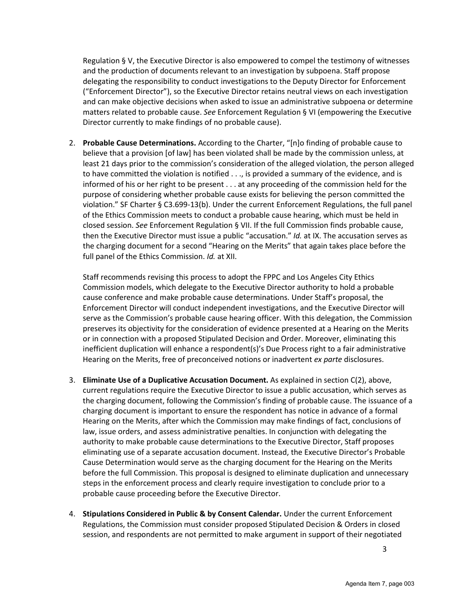Regulation § V, the Executive Director is also empowered to compel the testimony of witnesses and the production of documents relevant to an investigation by subpoena. Staff propose delegating the responsibility to conduct investigations to the Deputy Director for Enforcement ("Enforcement Director"), so the Executive Director retains neutral views on each investigation and can make objective decisions when asked to issue an administrative subpoena or determine matters related to probable cause. *See* Enforcement Regulation § VI (empowering the Executive Director currently to make findings of no probable cause).

2. **Probable Cause Determinations.** According to the Charter, "[n]o finding of probable cause to believe that a provision [of law] has been violated shall be made by the commission unless, at least 21 days prior to the commission's consideration of the alleged violation, the person alleged to have committed the violation is notified . . ., is provided a summary of the evidence, and is informed of his or her right to be present . . . at any proceeding of the commission held for the purpose of considering whether probable cause exists for believing the person committed the violation." SF Charter § C3.699-13(b). Under the current Enforcement Regulations, the full panel of the Ethics Commission meets to conduct a probable cause hearing, which must be held in closed session. *See* Enforcement Regulation § VII. If the full Commission finds probable cause, then the Executive Director must issue a public "accusation." *Id.* at IX. The accusation serves as the charging document for a second "Hearing on the Merits" that again takes place before the full panel of the Ethics Commission. *Id.* at XII.

Staff recommends revising this process to adopt the FPPC and Los Angeles City Ethics Commission models, which delegate to the Executive Director authority to hold a probable cause conference and make probable cause determinations. Under Staff's proposal, the Enforcement Director will conduct independent investigations, and the Executive Director will serve as the Commission's probable cause hearing officer. With this delegation, the Commission preserves its objectivity for the consideration of evidence presented at a Hearing on the Merits or in connection with a proposed Stipulated Decision and Order. Moreover, eliminating this inefficient duplication will enhance a respondent(s)'s Due Process right to a fair administrative Hearing on the Merits, free of preconceived notions or inadvertent *ex parte* disclosures.

- 3. **Eliminate Use of a Duplicative Accusation Document.** As explained in section C(2), above, current regulations require the Executive Director to issue a public accusation, which serves as the charging document, following the Commission's finding of probable cause. The issuance of a charging document is important to ensure the respondent has notice in advance of a formal Hearing on the Merits, after which the Commission may make findings of fact, conclusions of law, issue orders, and assess administrative penalties. In conjunction with delegating the authority to make probable cause determinations to the Executive Director, Staff proposes eliminating use of a separate accusation document. Instead, the Executive Director's Probable Cause Determination would serve as the charging document for the Hearing on the Merits before the full Commission. This proposal is designed to eliminate duplication and unnecessary steps in the enforcement process and clearly require investigation to conclude prior to a probable cause proceeding before the Executive Director.
- 4. **Stipulations Considered in Public & by Consent Calendar.** Under the current Enforcement Regulations, the Commission must consider proposed Stipulated Decision & Orders in closed session, and respondents are not permitted to make argument in support of their negotiated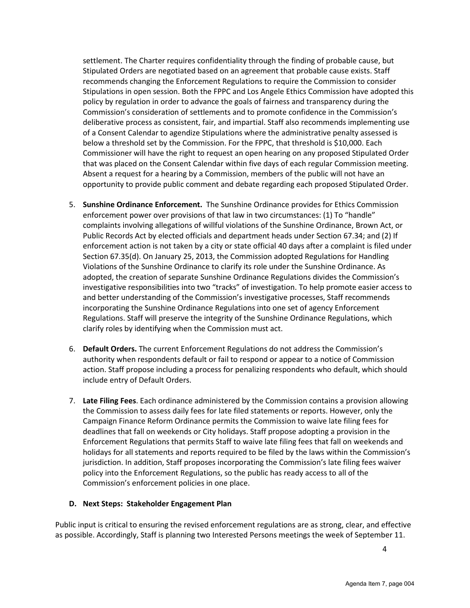settlement. The Charter requires confidentiality through the finding of probable cause, but Stipulated Orders are negotiated based on an agreement that probable cause exists. Staff recommends changing the Enforcement Regulations to require the Commission to consider Stipulations in open session. Both the FPPC and Los Angele Ethics Commission have adopted this policy by regulation in order to advance the goals of fairness and transparency during the Commission's consideration of settlements and to promote confidence in the Commission's deliberative process as consistent, fair, and impartial. Staff also recommends implementing use of a Consent Calendar to agendize Stipulations where the administrative penalty assessed is below a threshold set by the Commission. For the FPPC, that threshold is \$10,000. Each Commissioner will have the right to request an open hearing on any proposed Stipulated Order that was placed on the Consent Calendar within five days of each regular Commission meeting. Absent a request for a hearing by a Commission, members of the public will not have an opportunity to provide public comment and debate regarding each proposed Stipulated Order.

- 5. **Sunshine Ordinance Enforcement.** The Sunshine Ordinance provides for Ethics Commission enforcement power over provisions of that law in two circumstances: (1) To "handle" complaints involving allegations of willful violations of the Sunshine Ordinance, Brown Act, or Public Records Act by elected officials and department heads under Section 67.34; and (2) If enforcement action is not taken by a city or state official 40 days after a complaint is filed under Section 67.35(d). On January 25, 2013, the Commission adopted Regulations for Handling Violations of the Sunshine Ordinance to clarify its role under the Sunshine Ordinance. As adopted, the creation of separate Sunshine Ordinance Regulations divides the Commission's investigative responsibilities into two "tracks" of investigation. To help promote easier access to and better understanding of the Commission's investigative processes, Staff recommends incorporating the Sunshine Ordinance Regulations into one set of agency Enforcement Regulations. Staff will preserve the integrity of the Sunshine Ordinance Regulations, which clarify roles by identifying when the Commission must act.
- 6. **Default Orders.** The current Enforcement Regulations do not address the Commission's authority when respondents default or fail to respond or appear to a notice of Commission action. Staff propose including a process for penalizing respondents who default, which should include entry of Default Orders.
- 7. **Late Filing Fees**. Each ordinance administered by the Commission contains a provision allowing the Commission to assess daily fees for late filed statements or reports. However, only the Campaign Finance Reform Ordinance permits the Commission to waive late filing fees for deadlines that fall on weekends or City holidays. Staff propose adopting a provision in the Enforcement Regulations that permits Staff to waive late filing fees that fall on weekends and holidays for all statements and reports required to be filed by the laws within the Commission's jurisdiction. In addition, Staff proposes incorporating the Commission's late filing fees waiver policy into the Enforcement Regulations, so the public has ready access to all of the Commission's enforcement policies in one place.

#### **D. Next Steps: Stakeholder Engagement Plan**

Public input is critical to ensuring the revised enforcement regulations are as strong, clear, and effective as possible. Accordingly, Staff is planning two Interested Persons meetings the week of September 11.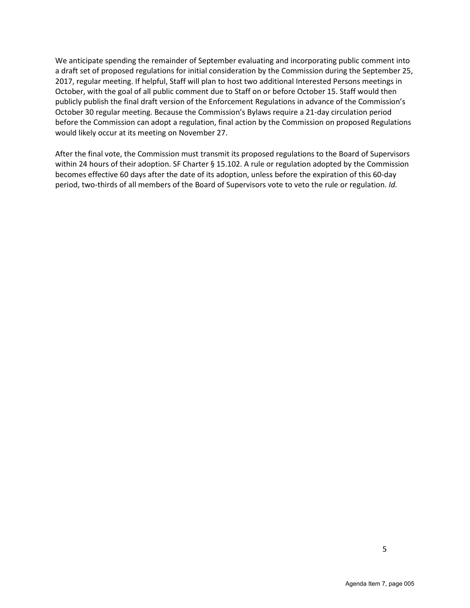We anticipate spending the remainder of September evaluating and incorporating public comment into a draft set of proposed regulations for initial consideration by the Commission during the September 25, 2017, regular meeting. If helpful, Staff will plan to host two additional Interested Persons meetings in October, with the goal of all public comment due to Staff on or before October 15. Staff would then publicly publish the final draft version of the Enforcement Regulations in advance of the Commission's October 30 regular meeting. Because the Commission's Bylaws require a 21-day circulation period before the Commission can adopt a regulation, final action by the Commission on proposed Regulations would likely occur at its meeting on November 27.

After the final vote, the Commission must transmit its proposed regulations to the Board of Supervisors within 24 hours of their adoption. SF Charter § 15.102. A rule or regulation adopted by the Commission becomes effective 60 days after the date of its adoption, unless before the expiration of this 60-day period, two-thirds of all members of the Board of Supervisors vote to veto the rule or regulation. *Id.*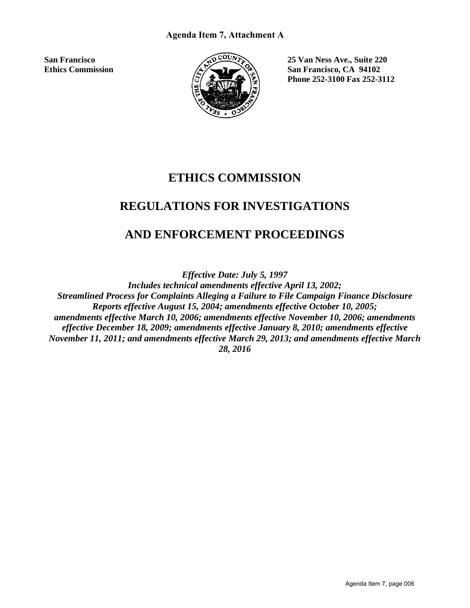

**San Francisco 25 Van Ness Ave., Suite 220**  Ethics Commission **San Francisco, CA 94102 Phone 252-3100 Fax 252-3112** 

# **ETHICS COMMISSION**

# **REGULATIONS FOR INVESTIGATIONS**

# **AND ENFORCEMENT PROCEEDINGS**

*Effective Date: July 5, 1997 Includes technical amendments effective April 13, 2002; Streamlined Process for Complaints Alleging a Failure to File Campaign Finance Disclosure Reports effective August 15, 2004; amendments effective October 10, 2005; amendments effective March 10, 2006; amendments effective November 10, 2006; amendments effective December 18, 2009; amendments effective January 8, 2010; amendments effective November 11, 2011; and amendments effective March 29, 2013; and amendments effective March 28, 2016*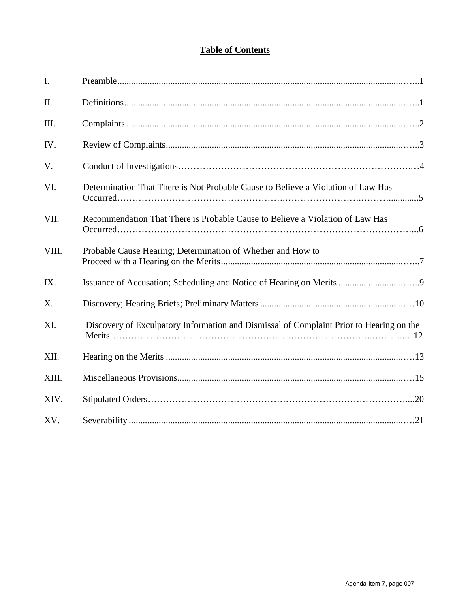### **Table of Contents**

| $\mathbf{I}$ . |                                                                                         |
|----------------|-----------------------------------------------------------------------------------------|
| II.            |                                                                                         |
| III.           |                                                                                         |
| IV.            |                                                                                         |
| V.             |                                                                                         |
| VI.            | Determination That There is Not Probable Cause to Believe a Violation of Law Has        |
| VII.           | Recommendation That There is Probable Cause to Believe a Violation of Law Has           |
| VIII.          | Probable Cause Hearing; Determination of Whether and How to                             |
| IX.            |                                                                                         |
| X.             |                                                                                         |
| XI.            | Discovery of Exculpatory Information and Dismissal of Complaint Prior to Hearing on the |
| XII.           |                                                                                         |
| XIII.          |                                                                                         |
| XIV.           |                                                                                         |
| XV.            |                                                                                         |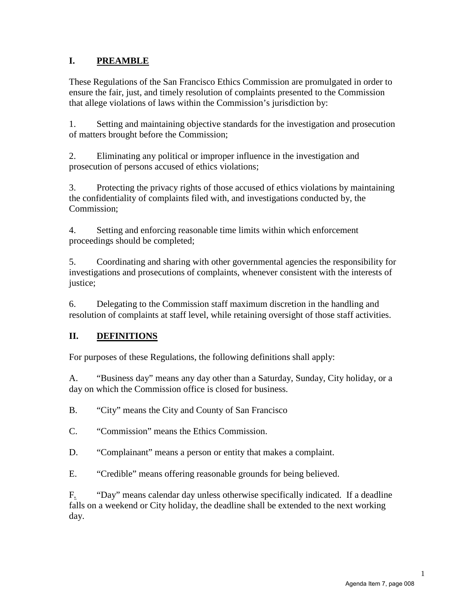#### **I. PREAMBLE**

These Regulations of the San Francisco Ethics Commission are promulgated in order to ensure the fair, just, and timely resolution of complaints presented to the Commission that allege violations of laws within the Commission's jurisdiction by:

1. Setting and maintaining objective standards for the investigation and prosecution of matters brought before the Commission;

2. Eliminating any political or improper influence in the investigation and prosecution of persons accused of ethics violations;

3. Protecting the privacy rights of those accused of ethics violations by maintaining the confidentiality of complaints filed with, and investigations conducted by, the Commission;

4. Setting and enforcing reasonable time limits within which enforcement proceedings should be completed;

5. Coordinating and sharing with other governmental agencies the responsibility for investigations and prosecutions of complaints, whenever consistent with the interests of justice;

6. Delegating to the Commission staff maximum discretion in the handling and resolution of complaints at staff level, while retaining oversight of those staff activities.

# **II. DEFINITIONS**

For purposes of these Regulations, the following definitions shall apply:

A. "Business day" means any day other than a Saturday, Sunday, City holiday, or a day on which the Commission office is closed for business.

B. "City" means the City and County of San Francisco

C. "Commission" means the Ethics Commission.

D. "Complainant" means a person or entity that makes a complaint.

E. "Credible" means offering reasonable grounds for being believed.

F*.* "Day" means calendar day unless otherwise specifically indicated. If a deadline falls on a weekend or City holiday, the deadline shall be extended to the next working day.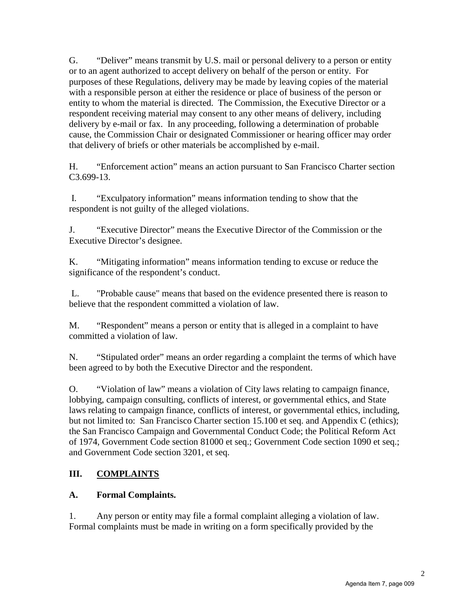G. "Deliver" means transmit by U.S. mail or personal delivery to a person or entity or to an agent authorized to accept delivery on behalf of the person or entity. For purposes of these Regulations, delivery may be made by leaving copies of the material with a responsible person at either the residence or place of business of the person or entity to whom the material is directed. The Commission, the Executive Director or a respondent receiving material may consent to any other means of delivery, including delivery by e-mail or fax. In any proceeding, following a determination of probable cause, the Commission Chair or designated Commissioner or hearing officer may order that delivery of briefs or other materials be accomplished by e-mail.

H. "Enforcement action" means an action pursuant to San Francisco Charter section C3.699-13.

I. "Exculpatory information" means information tending to show that the respondent is not guilty of the alleged violations.

J. "Executive Director" means the Executive Director of the Commission or the Executive Director's designee.

K. "Mitigating information" means information tending to excuse or reduce the significance of the respondent's conduct.

L. "Probable cause" means that based on the evidence presented there is reason to believe that the respondent committed a violation of law.

M. "Respondent" means a person or entity that is alleged in a complaint to have committed a violation of law.

N. "Stipulated order" means an order regarding a complaint the terms of which have been agreed to by both the Executive Director and the respondent.

O. "Violation of law" means a violation of City laws relating to campaign finance, lobbying, campaign consulting, conflicts of interest, or governmental ethics, and State laws relating to campaign finance, conflicts of interest, or governmental ethics, including, but not limited to: San Francisco Charter section 15.100 et seq. and Appendix C (ethics); the San Francisco Campaign and Governmental Conduct Code; the Political Reform Act of 1974, Government Code section 81000 et seq.; Government Code section 1090 et seq.; and Government Code section 3201, et seq.

# **III. COMPLAINTS**

#### **A. Formal Complaints.**

1. Any person or entity may file a formal complaint alleging a violation of law. Formal complaints must be made in writing on a form specifically provided by the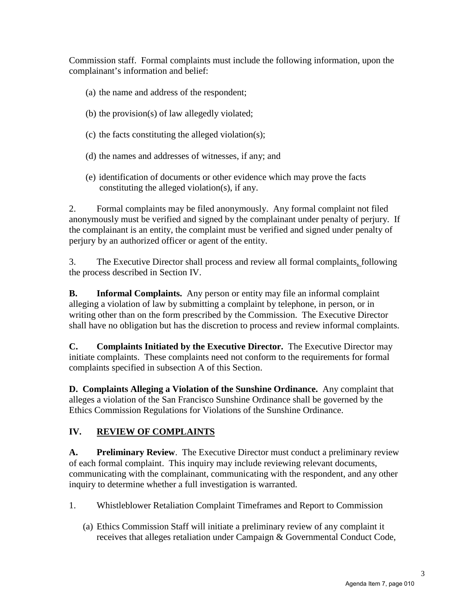Commission staff. Formal complaints must include the following information, upon the complainant's information and belief:

- (a) the name and address of the respondent;
- (b) the provision(s) of law allegedly violated;
- (c) the facts constituting the alleged violation(s);
- (d) the names and addresses of witnesses, if any; and
- (e) identification of documents or other evidence which may prove the facts constituting the alleged violation(s), if any.

2. Formal complaints may be filed anonymously. Any formal complaint not filed anonymously must be verified and signed by the complainant under penalty of perjury. If the complainant is an entity, the complaint must be verified and signed under penalty of perjury by an authorized officer or agent of the entity.

3. The Executive Director shall process and review all formal complaints, following the process described in Section IV.

**B. Informal Complaints.** Any person or entity may file an informal complaint alleging a violation of law by submitting a complaint by telephone, in person, or in writing other than on the form prescribed by the Commission. The Executive Director shall have no obligation but has the discretion to process and review informal complaints.

**C. Complaints Initiated by the Executive Director.** The Executive Director may initiate complaints. These complaints need not conform to the requirements for formal complaints specified in subsection A of this Section.

**D. Complaints Alleging a Violation of the Sunshine Ordinance.** Any complaint that alleges a violation of the San Francisco Sunshine Ordinance shall be governed by the Ethics Commission Regulations for Violations of the Sunshine Ordinance.

#### **IV. REVIEW OF COMPLAINTS**

**A. Preliminary Review**. The Executive Director must conduct a preliminary review of each formal complaint. This inquiry may include reviewing relevant documents, communicating with the complainant, communicating with the respondent, and any other inquiry to determine whether a full investigation is warranted.

- 1. Whistleblower Retaliation Complaint Timeframes and Report to Commission
	- (a) Ethics Commission Staff will initiate a preliminary review of any complaint it receives that alleges retaliation under Campaign & Governmental Conduct Code,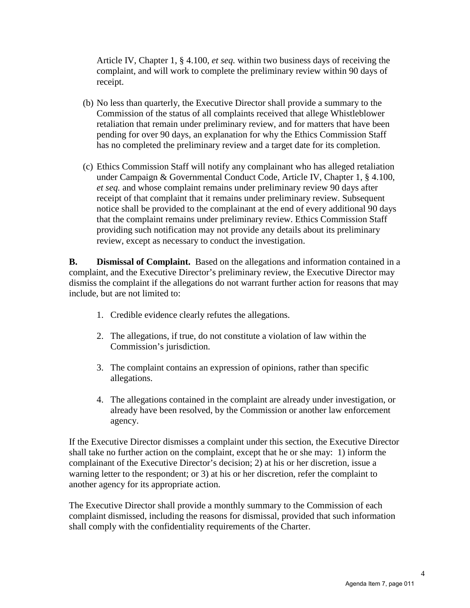Article IV, Chapter 1, § 4.100, *et seq.* within two business days of receiving the complaint, and will work to complete the preliminary review within 90 days of receipt.

- (b) No less than quarterly, the Executive Director shall provide a summary to the Commission of the status of all complaints received that allege Whistleblower retaliation that remain under preliminary review, and for matters that have been pending for over 90 days, an explanation for why the Ethics Commission Staff has no completed the preliminary review and a target date for its completion.
- (c) Ethics Commission Staff will notify any complainant who has alleged retaliation under Campaign & Governmental Conduct Code, Article IV, Chapter 1, § 4.100, *et seq.* and whose complaint remains under preliminary review 90 days after receipt of that complaint that it remains under preliminary review. Subsequent notice shall be provided to the complainant at the end of every additional 90 days that the complaint remains under preliminary review. Ethics Commission Staff providing such notification may not provide any details about its preliminary review, except as necessary to conduct the investigation.

**B. Dismissal of Complaint.** Based on the allegations and information contained in a complaint, and the Executive Director's preliminary review, the Executive Director may dismiss the complaint if the allegations do not warrant further action for reasons that may include, but are not limited to:

- 1. Credible evidence clearly refutes the allegations.
- 2. The allegations, if true, do not constitute a violation of law within the Commission's jurisdiction.
- 3. The complaint contains an expression of opinions, rather than specific allegations.
- 4. The allegations contained in the complaint are already under investigation, or already have been resolved, by the Commission or another law enforcement agency.

If the Executive Director dismisses a complaint under this section, the Executive Director shall take no further action on the complaint, except that he or she may: 1) inform the complainant of the Executive Director's decision; 2) at his or her discretion, issue a warning letter to the respondent; or 3) at his or her discretion, refer the complaint to another agency for its appropriate action.

The Executive Director shall provide a monthly summary to the Commission of each complaint dismissed, including the reasons for dismissal, provided that such information shall comply with the confidentiality requirements of the Charter.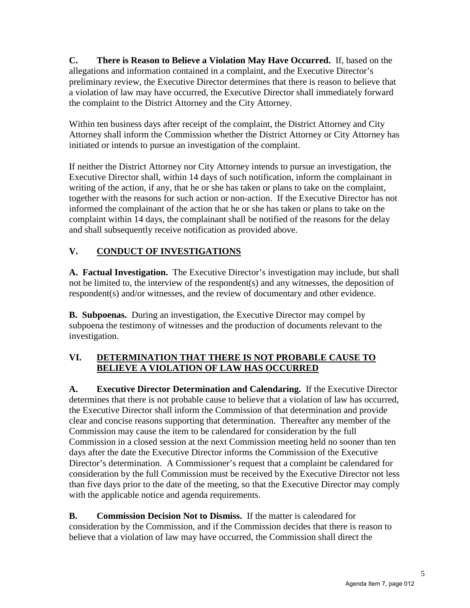**C. There is Reason to Believe a Violation May Have Occurred.** If, based on the allegations and information contained in a complaint, and the Executive Director's preliminary review, the Executive Director determines that there is reason to believe that a violation of law may have occurred, the Executive Director shall immediately forward the complaint to the District Attorney and the City Attorney.

Within ten business days after receipt of the complaint, the District Attorney and City Attorney shall inform the Commission whether the District Attorney or City Attorney has initiated or intends to pursue an investigation of the complaint.

If neither the District Attorney nor City Attorney intends to pursue an investigation, the Executive Director shall, within 14 days of such notification, inform the complainant in writing of the action, if any, that he or she has taken or plans to take on the complaint, together with the reasons for such action or non-action. If the Executive Director has not informed the complainant of the action that he or she has taken or plans to take on the complaint within 14 days, the complainant shall be notified of the reasons for the delay and shall subsequently receive notification as provided above.

# **V. CONDUCT OF INVESTIGATIONS**

**A. Factual Investigation.** The Executive Director's investigation may include, but shall not be limited to, the interview of the respondent(s) and any witnesses, the deposition of respondent(s) and/or witnesses, and the review of documentary and other evidence.

**B. Subpoenas.** During an investigation, the Executive Director may compel by subpoena the testimony of witnesses and the production of documents relevant to the investigation.

#### **VI. DETERMINATION THAT THERE IS NOT PROBABLE CAUSE TO BELIEVE A VIOLATION OF LAW HAS OCCURRED**

**A. Executive Director Determination and Calendaring.** If the Executive Director determines that there is not probable cause to believe that a violation of law has occurred, the Executive Director shall inform the Commission of that determination and provide clear and concise reasons supporting that determination. Thereafter any member of the Commission may cause the item to be calendared for consideration by the full Commission in a closed session at the next Commission meeting held no sooner than ten days after the date the Executive Director informs the Commission of the Executive Director's determination. A Commissioner's request that a complaint be calendared for consideration by the full Commission must be received by the Executive Director not less than five days prior to the date of the meeting, so that the Executive Director may comply with the applicable notice and agenda requirements.

**B. Commission Decision Not to Dismiss.** If the matter is calendared for consideration by the Commission, and if the Commission decides that there is reason to believe that a violation of law may have occurred, the Commission shall direct the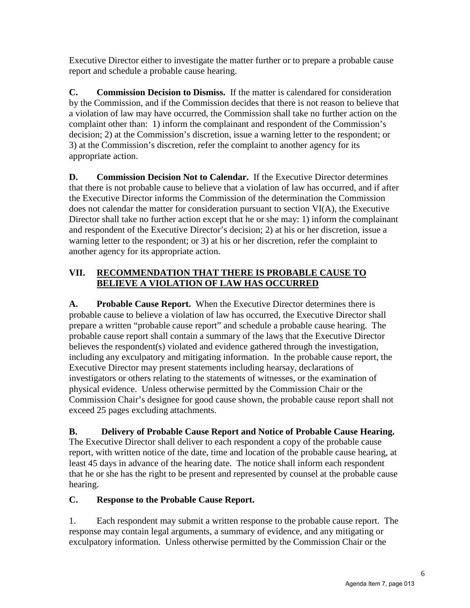Executive Director either to investigate the matter further or to prepare a probable cause report and schedule a probable cause hearing.

**C. Commission Decision to Dismiss.** If the matter is calendared for consideration by the Commission, and if the Commission decides that there is not reason to believe that a violation of law may have occurred, the Commission shall take no further action on the complaint other than: 1) inform the complainant and respondent of the Commission's decision; 2) at the Commission's discretion, issue a warning letter to the respondent; or 3) at the Commission's discretion, refer the complaint to another agency for its appropriate action.

**D. Commission Decision Not to Calendar.** If the Executive Director determines that there is not probable cause to believe that a violation of law has occurred, and if after the Executive Director informs the Commission of the determination the Commission does not calendar the matter for consideration pursuant to section VI(A), the Executive Director shall take no further action except that he or she may: 1) inform the complainant and respondent of the Executive Director's decision; 2) at his or her discretion, issue a warning letter to the respondent; or 3) at his or her discretion, refer the complaint to another agency for its appropriate action.

# **VII. RECOMMENDATION THAT THERE IS PROBABLE CAUSE TO BELIEVE A VIOLATION OF LAW HAS OCCURRED**

**A. Probable Cause Report.** When the Executive Director determines there is probable cause to believe a violation of law has occurred, the Executive Director shall prepare a written "probable cause report" and schedule a probable cause hearing. The probable cause report shall contain a summary of the laws that the Executive Director believes the respondent(s) violated and evidence gathered through the investigation, including any exculpatory and mitigating information. In the probable cause report, the Executive Director may present statements including hearsay, declarations of investigators or others relating to the statements of witnesses, or the examination of physical evidence. Unless otherwise permitted by the Commission Chair or the Commission Chair's designee for good cause shown, the probable cause report shall not exceed 25 pages excluding attachments.

#### **B. Delivery of Probable Cause Report and Notice of Probable Cause Hearing.** The Executive Director shall deliver to each respondent a copy of the probable cause report, with written notice of the date, time and location of the probable cause hearing, at least 45 days in advance of the hearing date. The notice shall inform each respondent that he or she has the right to be present and represented by counsel at the probable cause hearing.

# **C. Response to the Probable Cause Report.**

1. Each respondent may submit a written response to the probable cause report. The response may contain legal arguments, a summary of evidence, and any mitigating or exculpatory information. Unless otherwise permitted by the Commission Chair or the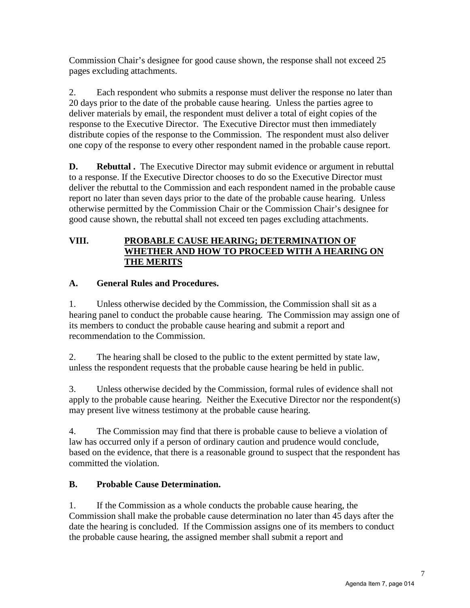Commission Chair's designee for good cause shown, the response shall not exceed 25 pages excluding attachments.

2. Each respondent who submits a response must deliver the response no later than 20 days prior to the date of the probable cause hearing. Unless the parties agree to deliver materials by email, the respondent must deliver a total of eight copies of the response to the Executive Director. The Executive Director must then immediately distribute copies of the response to the Commission. The respondent must also deliver one copy of the response to every other respondent named in the probable cause report.

**D. Rebuttal**. The Executive Director may submit evidence or argument in rebuttal to a response. If the Executive Director chooses to do so the Executive Director must deliver the rebuttal to the Commission and each respondent named in the probable cause report no later than seven days prior to the date of the probable cause hearing. Unless otherwise permitted by the Commission Chair or the Commission Chair's designee for good cause shown, the rebuttal shall not exceed ten pages excluding attachments.

#### **VIII. PROBABLE CAUSE HEARING; DETERMINATION OF WHETHER AND HOW TO PROCEED WITH A HEARING ON THE MERITS**

# **A. General Rules and Procedures.**

1. Unless otherwise decided by the Commission, the Commission shall sit as a hearing panel to conduct the probable cause hearing. The Commission may assign one of its members to conduct the probable cause hearing and submit a report and recommendation to the Commission.

2. The hearing shall be closed to the public to the extent permitted by state law, unless the respondent requests that the probable cause hearing be held in public.

3. Unless otherwise decided by the Commission, formal rules of evidence shall not apply to the probable cause hearing. Neither the Executive Director nor the respondent(s) may present live witness testimony at the probable cause hearing.

4. The Commission may find that there is probable cause to believe a violation of law has occurred only if a person of ordinary caution and prudence would conclude, based on the evidence, that there is a reasonable ground to suspect that the respondent has committed the violation.

# **B. Probable Cause Determination.**

1. If the Commission as a whole conducts the probable cause hearing, the Commission shall make the probable cause determination no later than 45 days after the date the hearing is concluded. If the Commission assigns one of its members to conduct the probable cause hearing, the assigned member shall submit a report and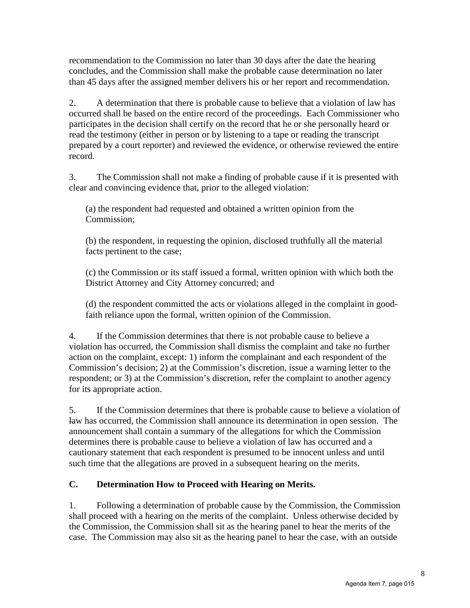recommendation to the Commission no later than 30 days after the date the hearing concludes, and the Commission shall make the probable cause determination no later than 45 days after the assigned member delivers his or her report and recommendation.

2. A determination that there is probable cause to believe that a violation of law has occurred shall be based on the entire record of the proceedings. Each Commissioner who participates in the decision shall certify on the record that he or she personally heard or read the testimony (either in person or by listening to a tape or reading the transcript prepared by a court reporter) and reviewed the evidence, or otherwise reviewed the entire record.

3. The Commission shall not make a finding of probable cause if it is presented with clear and convincing evidence that, prior to the alleged violation:

(a) the respondent had requested and obtained a written opinion from the Commission;

(b) the respondent, in requesting the opinion, disclosed truthfully all the material facts pertinent to the case;

(c) the Commission or its staff issued a formal, written opinion with which both the District Attorney and City Attorney concurred; and

(d) the respondent committed the acts or violations alleged in the complaint in goodfaith reliance upon the formal, written opinion of the Commission.

4. If the Commission determines that there is not probable cause to believe a violation has occurred, the Commission shall dismiss the complaint and take no further action on the complaint, except: 1) inform the complainant and each respondent of the Commission's decision; 2) at the Commission's discretion, issue a warning letter to the respondent; or 3) at the Commission's discretion, refer the complaint to another agency for its appropriate action.

5. If the Commission determines that there is probable cause to believe a violation of law has occurred, the Commission shall announce its determination in open session. The announcement shall contain a summary of the allegations for which the Commission determines there is probable cause to believe a violation of law has occurred and a cautionary statement that each respondent is presumed to be innocent unless and until such time that the allegations are proved in a subsequent hearing on the merits.

#### **C. Determination How to Proceed with Hearing on Merits.**

1. Following a determination of probable cause by the Commission, the Commission shall proceed with a hearing on the merits of the complaint. Unless otherwise decided by the Commission, the Commission shall sit as the hearing panel to hear the merits of the case. The Commission may also sit as the hearing panel to hear the case, with an outside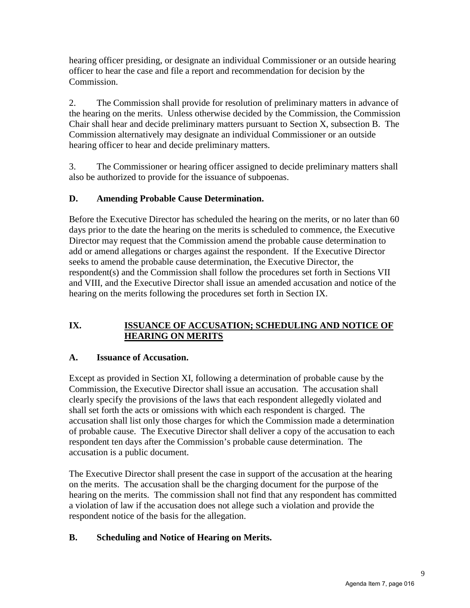hearing officer presiding, or designate an individual Commissioner or an outside hearing officer to hear the case and file a report and recommendation for decision by the Commission.

2. The Commission shall provide for resolution of preliminary matters in advance of the hearing on the merits. Unless otherwise decided by the Commission, the Commission Chair shall hear and decide preliminary matters pursuant to Section X, subsection B. The Commission alternatively may designate an individual Commissioner or an outside hearing officer to hear and decide preliminary matters.

3. The Commissioner or hearing officer assigned to decide preliminary matters shall also be authorized to provide for the issuance of subpoenas.

# **D. Amending Probable Cause Determination.**

Before the Executive Director has scheduled the hearing on the merits, or no later than 60 days prior to the date the hearing on the merits is scheduled to commence, the Executive Director may request that the Commission amend the probable cause determination to add or amend allegations or charges against the respondent. If the Executive Director seeks to amend the probable cause determination, the Executive Director, the respondent(s) and the Commission shall follow the procedures set forth in Sections VII and VIII, and the Executive Director shall issue an amended accusation and notice of the hearing on the merits following the procedures set forth in Section IX.

#### **IX. ISSUANCE OF ACCUSATION; SCHEDULING AND NOTICE OF HEARING ON MERITS**

#### **A. Issuance of Accusation.**

Except as provided in Section XI, following a determination of probable cause by the Commission, the Executive Director shall issue an accusation. The accusation shall clearly specify the provisions of the laws that each respondent allegedly violated and shall set forth the acts or omissions with which each respondent is charged. The accusation shall list only those charges for which the Commission made a determination of probable cause. The Executive Director shall deliver a copy of the accusation to each respondent ten days after the Commission's probable cause determination. The accusation is a public document.

The Executive Director shall present the case in support of the accusation at the hearing on the merits. The accusation shall be the charging document for the purpose of the hearing on the merits. The commission shall not find that any respondent has committed a violation of law if the accusation does not allege such a violation and provide the respondent notice of the basis for the allegation.

#### **B. Scheduling and Notice of Hearing on Merits.**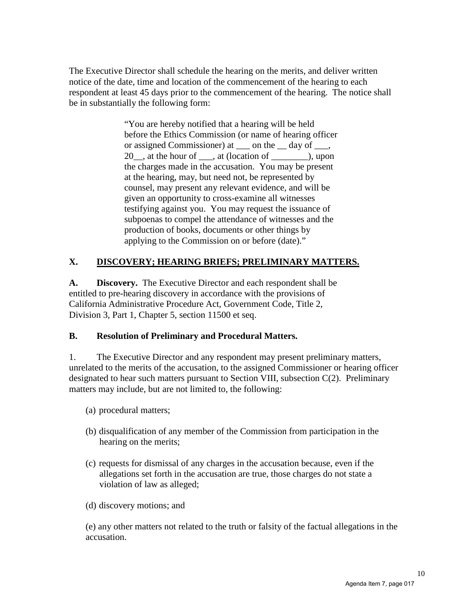The Executive Director shall schedule the hearing on the merits, and deliver written notice of the date, time and location of the commencement of the hearing to each respondent at least 45 days prior to the commencement of the hearing. The notice shall be in substantially the following form:

> "You are hereby notified that a hearing will be held before the Ethics Commission (or name of hearing officer or assigned Commissioner) at \_\_\_ on the \_\_ day of \_\_\_, 20\_\_, at the hour of \_\_\_, at (location of \_\_\_\_\_\_\_\_), upon the charges made in the accusation. You may be present at the hearing, may, but need not, be represented by counsel, may present any relevant evidence, and will be given an opportunity to cross-examine all witnesses testifying against you. You may request the issuance of subpoenas to compel the attendance of witnesses and the production of books, documents or other things by applying to the Commission on or before (date)."

# **X. DISCOVERY; HEARING BRIEFS; PRELIMINARY MATTERS.**

**A. Discovery.** The Executive Director and each respondent shall be entitled to pre-hearing discovery in accordance with the provisions of California Administrative Procedure Act, Government Code, Title 2, Division 3, Part 1, Chapter 5, section 11500 et seq.

#### **B. Resolution of Preliminary and Procedural Matters.**

1. The Executive Director and any respondent may present preliminary matters, unrelated to the merits of the accusation, to the assigned Commissioner or hearing officer designated to hear such matters pursuant to Section VIII, subsection C(2). Preliminary matters may include, but are not limited to, the following:

- (a) procedural matters;
- (b) disqualification of any member of the Commission from participation in the hearing on the merits;
- (c) requests for dismissal of any charges in the accusation because, even if the allegations set forth in the accusation are true, those charges do not state a violation of law as alleged;
- (d) discovery motions; and

(e) any other matters not related to the truth or falsity of the factual allegations in the accusation.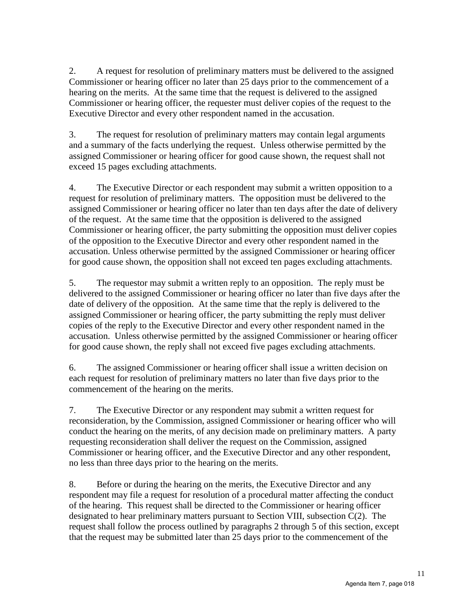2. A request for resolution of preliminary matters must be delivered to the assigned Commissioner or hearing officer no later than 25 days prior to the commencement of a hearing on the merits. At the same time that the request is delivered to the assigned Commissioner or hearing officer, the requester must deliver copies of the request to the Executive Director and every other respondent named in the accusation.

3. The request for resolution of preliminary matters may contain legal arguments and a summary of the facts underlying the request. Unless otherwise permitted by the assigned Commissioner or hearing officer for good cause shown, the request shall not exceed 15 pages excluding attachments.

4. The Executive Director or each respondent may submit a written opposition to a request for resolution of preliminary matters. The opposition must be delivered to the assigned Commissioner or hearing officer no later than ten days after the date of delivery of the request. At the same time that the opposition is delivered to the assigned Commissioner or hearing officer, the party submitting the opposition must deliver copies of the opposition to the Executive Director and every other respondent named in the accusation. Unless otherwise permitted by the assigned Commissioner or hearing officer for good cause shown, the opposition shall not exceed ten pages excluding attachments.

5. The requestor may submit a written reply to an opposition. The reply must be delivered to the assigned Commissioner or hearing officer no later than five days after the date of delivery of the opposition. At the same time that the reply is delivered to the assigned Commissioner or hearing officer, the party submitting the reply must deliver copies of the reply to the Executive Director and every other respondent named in the accusation. Unless otherwise permitted by the assigned Commissioner or hearing officer for good cause shown, the reply shall not exceed five pages excluding attachments.

6. The assigned Commissioner or hearing officer shall issue a written decision on each request for resolution of preliminary matters no later than five days prior to the commencement of the hearing on the merits.

7. The Executive Director or any respondent may submit a written request for reconsideration, by the Commission, assigned Commissioner or hearing officer who will conduct the hearing on the merits, of any decision made on preliminary matters. A party requesting reconsideration shall deliver the request on the Commission, assigned Commissioner or hearing officer, and the Executive Director and any other respondent, no less than three days prior to the hearing on the merits.

8. Before or during the hearing on the merits, the Executive Director and any respondent may file a request for resolution of a procedural matter affecting the conduct of the hearing. This request shall be directed to the Commissioner or hearing officer designated to hear preliminary matters pursuant to Section VIII, subsection C(2). The request shall follow the process outlined by paragraphs 2 through 5 of this section, except that the request may be submitted later than 25 days prior to the commencement of the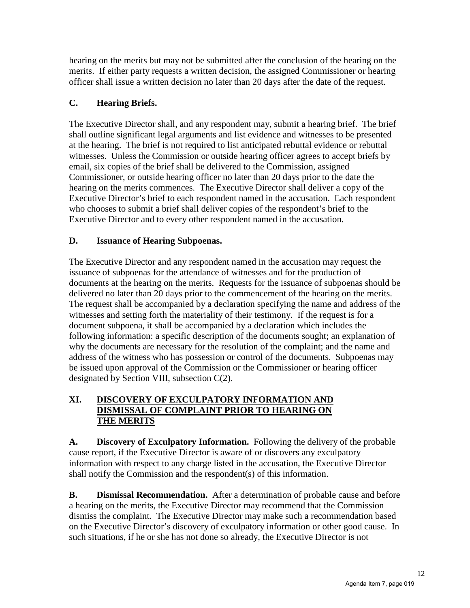hearing on the merits but may not be submitted after the conclusion of the hearing on the merits. If either party requests a written decision, the assigned Commissioner or hearing officer shall issue a written decision no later than 20 days after the date of the request.

# **C. Hearing Briefs.**

The Executive Director shall, and any respondent may, submit a hearing brief. The brief shall outline significant legal arguments and list evidence and witnesses to be presented at the hearing. The brief is not required to list anticipated rebuttal evidence or rebuttal witnesses. Unless the Commission or outside hearing officer agrees to accept briefs by email, six copies of the brief shall be delivered to the Commission, assigned Commissioner, or outside hearing officer no later than 20 days prior to the date the hearing on the merits commences. The Executive Director shall deliver a copy of the Executive Director's brief to each respondent named in the accusation. Each respondent who chooses to submit a brief shall deliver copies of the respondent's brief to the Executive Director and to every other respondent named in the accusation.

#### **D. Issuance of Hearing Subpoenas.**

The Executive Director and any respondent named in the accusation may request the issuance of subpoenas for the attendance of witnesses and for the production of documents at the hearing on the merits. Requests for the issuance of subpoenas should be delivered no later than 20 days prior to the commencement of the hearing on the merits. The request shall be accompanied by a declaration specifying the name and address of the witnesses and setting forth the materiality of their testimony. If the request is for a document subpoena, it shall be accompanied by a declaration which includes the following information: a specific description of the documents sought; an explanation of why the documents are necessary for the resolution of the complaint; and the name and address of the witness who has possession or control of the documents. Subpoenas may be issued upon approval of the Commission or the Commissioner or hearing officer designated by Section VIII, subsection C(2).

#### **XI. DISCOVERY OF EXCULPATORY INFORMATION AND DISMISSAL OF COMPLAINT PRIOR TO HEARING ON THE MERITS**

**A. Discovery of Exculpatory Information.** Following the delivery of the probable cause report, if the Executive Director is aware of or discovers any exculpatory information with respect to any charge listed in the accusation, the Executive Director shall notify the Commission and the respondent(s) of this information.

**B. Dismissal Recommendation.** After a determination of probable cause and before a hearing on the merits, the Executive Director may recommend that the Commission dismiss the complaint. The Executive Director may make such a recommendation based on the Executive Director's discovery of exculpatory information or other good cause. In such situations, if he or she has not done so already, the Executive Director is not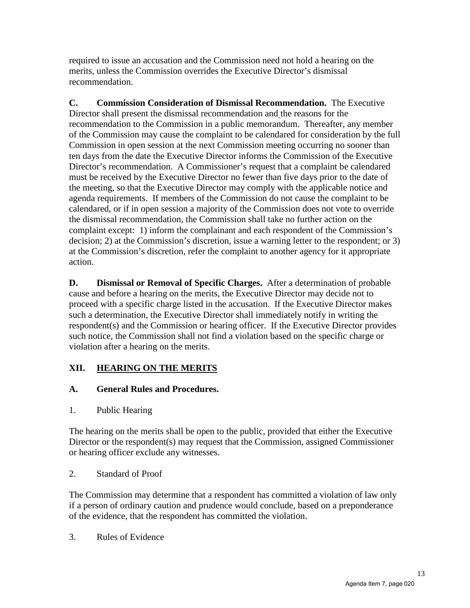required to issue an accusation and the Commission need not hold a hearing on the merits, unless the Commission overrides the Executive Director's dismissal recommendation.

**C. Commission Consideration of Dismissal Recommendation.** The Executive Director shall present the dismissal recommendation and the reasons for the recommendation to the Commission in a public memorandum. Thereafter, any member of the Commission may cause the complaint to be calendared for consideration by the full Commission in open session at the next Commission meeting occurring no sooner than ten days from the date the Executive Director informs the Commission of the Executive Director's recommendation. A Commissioner's request that a complaint be calendared must be received by the Executive Director no fewer than five days prior to the date of the meeting, so that the Executive Director may comply with the applicable notice and agenda requirements. If members of the Commission do not cause the complaint to be calendared, or if in open session a majority of the Commission does not vote to override the dismissal recommendation, the Commission shall take no further action on the complaint except: 1) inform the complainant and each respondent of the Commission's decision; 2) at the Commission's discretion, issue a warning letter to the respondent; or 3) at the Commission's discretion, refer the complaint to another agency for it appropriate action.

**D. Dismissal or Removal of Specific Charges.** After a determination of probable cause and before a hearing on the merits, the Executive Director may decide not to proceed with a specific charge listed in the accusation. If the Executive Director makes such a determination, the Executive Director shall immediately notify in writing the respondent(s) and the Commission or hearing officer. If the Executive Director provides such notice, the Commission shall not find a violation based on the specific charge or violation after a hearing on the merits.

# **XII. HEARING ON THE MERITS**

#### **A. General Rules and Procedures.**

#### 1. Public Hearing

The hearing on the merits shall be open to the public, provided that either the Executive Director or the respondent(s) may request that the Commission, assigned Commissioner or hearing officer exclude any witnesses.

2. Standard of Proof

The Commission may determine that a respondent has committed a violation of law only if a person of ordinary caution and prudence would conclude, based on a preponderance of the evidence, that the respondent has committed the violation.

3. Rules of Evidence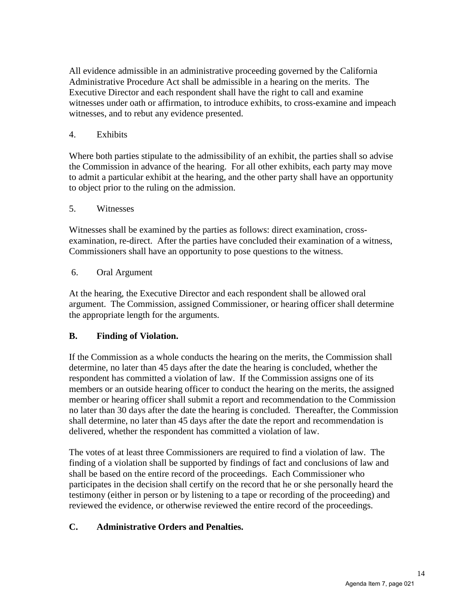All evidence admissible in an administrative proceeding governed by the California Administrative Procedure Act shall be admissible in a hearing on the merits. The Executive Director and each respondent shall have the right to call and examine witnesses under oath or affirmation, to introduce exhibits, to cross-examine and impeach witnesses, and to rebut any evidence presented.

#### 4. Exhibits

Where both parties stipulate to the admissibility of an exhibit, the parties shall so advise the Commission in advance of the hearing. For all other exhibits, each party may move to admit a particular exhibit at the hearing, and the other party shall have an opportunity to object prior to the ruling on the admission.

#### 5. Witnesses

Witnesses shall be examined by the parties as follows: direct examination, crossexamination, re-direct. After the parties have concluded their examination of a witness, Commissioners shall have an opportunity to pose questions to the witness.

#### 6. Oral Argument

At the hearing, the Executive Director and each respondent shall be allowed oral argument. The Commission, assigned Commissioner, or hearing officer shall determine the appropriate length for the arguments.

#### **B. Finding of Violation.**

If the Commission as a whole conducts the hearing on the merits, the Commission shall determine, no later than 45 days after the date the hearing is concluded, whether the respondent has committed a violation of law. If the Commission assigns one of its members or an outside hearing officer to conduct the hearing on the merits, the assigned member or hearing officer shall submit a report and recommendation to the Commission no later than 30 days after the date the hearing is concluded. Thereafter, the Commission shall determine, no later than 45 days after the date the report and recommendation is delivered, whether the respondent has committed a violation of law.

The votes of at least three Commissioners are required to find a violation of law. The finding of a violation shall be supported by findings of fact and conclusions of law and shall be based on the entire record of the proceedings. Each Commissioner who participates in the decision shall certify on the record that he or she personally heard the testimony (either in person or by listening to a tape or recording of the proceeding) and reviewed the evidence, or otherwise reviewed the entire record of the proceedings.

#### **C. Administrative Orders and Penalties.**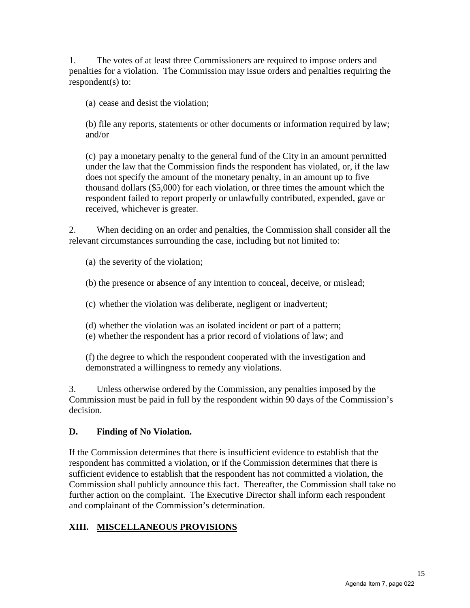1. The votes of at least three Commissioners are required to impose orders and penalties for a violation. The Commission may issue orders and penalties requiring the respondent(s) to:

(a) cease and desist the violation;

(b) file any reports, statements or other documents or information required by law; and/or

(c) pay a monetary penalty to the general fund of the City in an amount permitted under the law that the Commission finds the respondent has violated, or, if the law does not specify the amount of the monetary penalty, in an amount up to five thousand dollars (\$5,000) for each violation, or three times the amount which the respondent failed to report properly or unlawfully contributed, expended, gave or received, whichever is greater.

2. When deciding on an order and penalties, the Commission shall consider all the relevant circumstances surrounding the case, including but not limited to:

(a) the severity of the violation;

(b) the presence or absence of any intention to conceal, deceive, or mislead;

(c) whether the violation was deliberate, negligent or inadvertent;

(d) whether the violation was an isolated incident or part of a pattern;

(e) whether the respondent has a prior record of violations of law; and

(f) the degree to which the respondent cooperated with the investigation and demonstrated a willingness to remedy any violations.

3. Unless otherwise ordered by the Commission, any penalties imposed by the Commission must be paid in full by the respondent within 90 days of the Commission's decision.

# **D. Finding of No Violation.**

If the Commission determines that there is insufficient evidence to establish that the respondent has committed a violation, or if the Commission determines that there is sufficient evidence to establish that the respondent has not committed a violation, the Commission shall publicly announce this fact. Thereafter, the Commission shall take no further action on the complaint. The Executive Director shall inform each respondent and complainant of the Commission's determination.

# **XIII. MISCELLANEOUS PROVISIONS**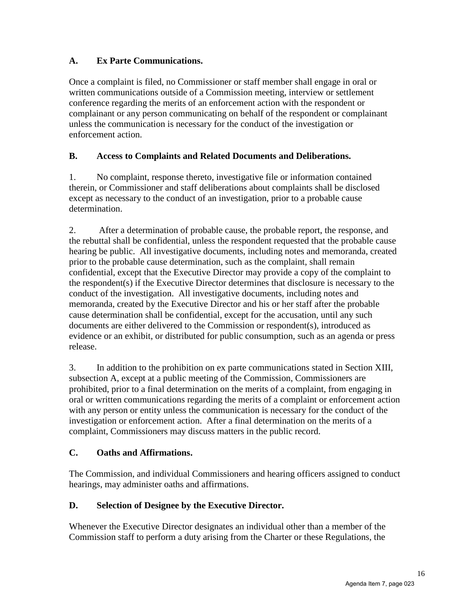#### **A. Ex Parte Communications.**

Once a complaint is filed, no Commissioner or staff member shall engage in oral or written communications outside of a Commission meeting, interview or settlement conference regarding the merits of an enforcement action with the respondent or complainant or any person communicating on behalf of the respondent or complainant unless the communication is necessary for the conduct of the investigation or enforcement action.

#### **B. Access to Complaints and Related Documents and Deliberations.**

1. No complaint, response thereto, investigative file or information contained therein, or Commissioner and staff deliberations about complaints shall be disclosed except as necessary to the conduct of an investigation, prior to a probable cause determination.

2. After a determination of probable cause, the probable report, the response, and the rebuttal shall be confidential, unless the respondent requested that the probable cause hearing be public. All investigative documents, including notes and memoranda, created prior to the probable cause determination, such as the complaint, shall remain confidential, except that the Executive Director may provide a copy of the complaint to the respondent(s) if the Executive Director determines that disclosure is necessary to the conduct of the investigation. All investigative documents, including notes and memoranda, created by the Executive Director and his or her staff after the probable cause determination shall be confidential, except for the accusation, until any such documents are either delivered to the Commission or respondent(s), introduced as evidence or an exhibit, or distributed for public consumption, such as an agenda or press release.

3. In addition to the prohibition on ex parte communications stated in Section XIII, subsection A, except at a public meeting of the Commission, Commissioners are prohibited, prior to a final determination on the merits of a complaint, from engaging in oral or written communications regarding the merits of a complaint or enforcement action with any person or entity unless the communication is necessary for the conduct of the investigation or enforcement action. After a final determination on the merits of a complaint, Commissioners may discuss matters in the public record.

#### **C. Oaths and Affirmations.**

The Commission, and individual Commissioners and hearing officers assigned to conduct hearings, may administer oaths and affirmations.

#### **D. Selection of Designee by the Executive Director.**

Whenever the Executive Director designates an individual other than a member of the Commission staff to perform a duty arising from the Charter or these Regulations, the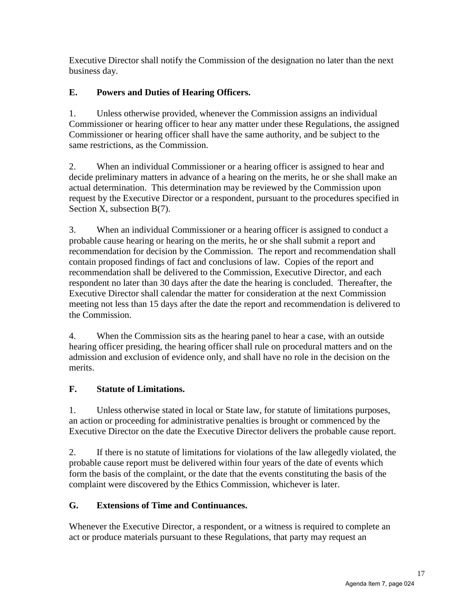Executive Director shall notify the Commission of the designation no later than the next business day.

# **E. Powers and Duties of Hearing Officers.**

1. Unless otherwise provided, whenever the Commission assigns an individual Commissioner or hearing officer to hear any matter under these Regulations, the assigned Commissioner or hearing officer shall have the same authority, and be subject to the same restrictions, as the Commission.

2. When an individual Commissioner or a hearing officer is assigned to hear and decide preliminary matters in advance of a hearing on the merits, he or she shall make an actual determination. This determination may be reviewed by the Commission upon request by the Executive Director or a respondent, pursuant to the procedures specified in Section X, subsection B(7).

3. When an individual Commissioner or a hearing officer is assigned to conduct a probable cause hearing or hearing on the merits, he or she shall submit a report and recommendation for decision by the Commission. The report and recommendation shall contain proposed findings of fact and conclusions of law. Copies of the report and recommendation shall be delivered to the Commission, Executive Director, and each respondent no later than 30 days after the date the hearing is concluded. Thereafter, the Executive Director shall calendar the matter for consideration at the next Commission meeting not less than 15 days after the date the report and recommendation is delivered to the Commission.

4. When the Commission sits as the hearing panel to hear a case, with an outside hearing officer presiding, the hearing officer shall rule on procedural matters and on the admission and exclusion of evidence only, and shall have no role in the decision on the merits.

# **F. Statute of Limitations.**

1. Unless otherwise stated in local or State law, for statute of limitations purposes, an action or proceeding for administrative penalties is brought or commenced by the Executive Director on the date the Executive Director delivers the probable cause report.

2. If there is no statute of limitations for violations of the law allegedly violated, the probable cause report must be delivered within four years of the date of events which form the basis of the complaint, or the date that the events constituting the basis of the complaint were discovered by the Ethics Commission, whichever is later.

# **G. Extensions of Time and Continuances.**

Whenever the Executive Director, a respondent, or a witness is required to complete an act or produce materials pursuant to these Regulations, that party may request an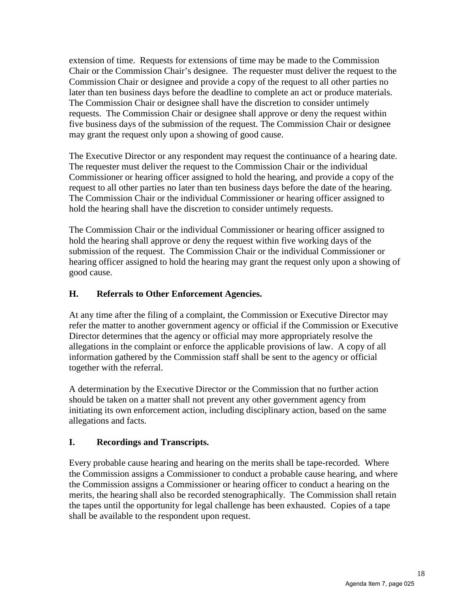extension of time. Requests for extensions of time may be made to the Commission Chair or the Commission Chair's designee. The requester must deliver the request to the Commission Chair or designee and provide a copy of the request to all other parties no later than ten business days before the deadline to complete an act or produce materials. The Commission Chair or designee shall have the discretion to consider untimely requests. The Commission Chair or designee shall approve or deny the request within five business days of the submission of the request. The Commission Chair or designee may grant the request only upon a showing of good cause.

The Executive Director or any respondent may request the continuance of a hearing date. The requester must deliver the request to the Commission Chair or the individual Commissioner or hearing officer assigned to hold the hearing, and provide a copy of the request to all other parties no later than ten business days before the date of the hearing. The Commission Chair or the individual Commissioner or hearing officer assigned to hold the hearing shall have the discretion to consider untimely requests.

The Commission Chair or the individual Commissioner or hearing officer assigned to hold the hearing shall approve or deny the request within five working days of the submission of the request. The Commission Chair or the individual Commissioner or hearing officer assigned to hold the hearing may grant the request only upon a showing of good cause.

#### **H. Referrals to Other Enforcement Agencies.**

At any time after the filing of a complaint, the Commission or Executive Director may refer the matter to another government agency or official if the Commission or Executive Director determines that the agency or official may more appropriately resolve the allegations in the complaint or enforce the applicable provisions of law. A copy of all information gathered by the Commission staff shall be sent to the agency or official together with the referral.

A determination by the Executive Director or the Commission that no further action should be taken on a matter shall not prevent any other government agency from initiating its own enforcement action, including disciplinary action, based on the same allegations and facts.

#### **I. Recordings and Transcripts.**

Every probable cause hearing and hearing on the merits shall be tape-recorded. Where the Commission assigns a Commissioner to conduct a probable cause hearing, and where the Commission assigns a Commissioner or hearing officer to conduct a hearing on the merits, the hearing shall also be recorded stenographically. The Commission shall retain the tapes until the opportunity for legal challenge has been exhausted. Copies of a tape shall be available to the respondent upon request.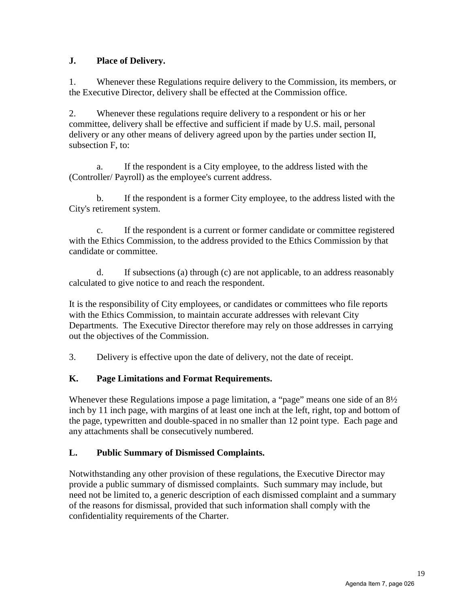#### **J. Place of Delivery.**

1. Whenever these Regulations require delivery to the Commission, its members, or the Executive Director, delivery shall be effected at the Commission office.

2. Whenever these regulations require delivery to a respondent or his or her committee, delivery shall be effective and sufficient if made by U.S. mail, personal delivery or any other means of delivery agreed upon by the parties under section II, subsection F, to:

a. If the respondent is a City employee, to the address listed with the (Controller/ Payroll) as the employee's current address.

 b. If the respondent is a former City employee, to the address listed with the City's retirement system.

c. If the respondent is a current or former candidate or committee registered with the Ethics Commission, to the address provided to the Ethics Commission by that candidate or committee.

 d. If subsections (a) through (c) are not applicable, to an address reasonably calculated to give notice to and reach the respondent.

It is the responsibility of City employees, or candidates or committees who file reports with the Ethics Commission, to maintain accurate addresses with relevant City Departments. The Executive Director therefore may rely on those addresses in carrying out the objectives of the Commission.

3. Delivery is effective upon the date of delivery, not the date of receipt.

# **K. Page Limitations and Format Requirements.**

Whenever these Regulations impose a page limitation, a "page" means one side of an 8½ inch by 11 inch page, with margins of at least one inch at the left, right, top and bottom of the page, typewritten and double-spaced in no smaller than 12 point type. Each page and any attachments shall be consecutively numbered.

#### **L. Public Summary of Dismissed Complaints.**

Notwithstanding any other provision of these regulations, the Executive Director may provide a public summary of dismissed complaints. Such summary may include, but need not be limited to, a generic description of each dismissed complaint and a summary of the reasons for dismissal, provided that such information shall comply with the confidentiality requirements of the Charter.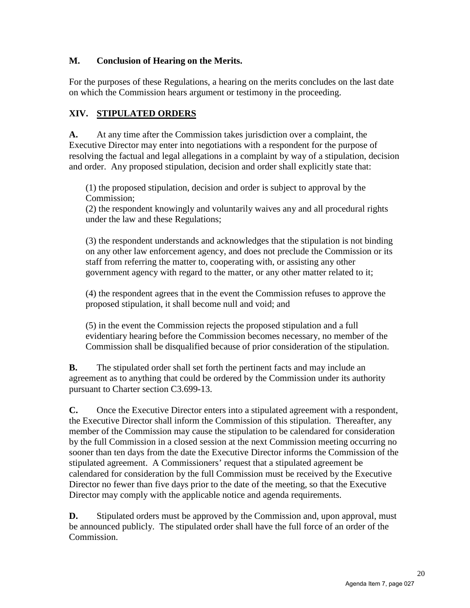#### **M. Conclusion of Hearing on the Merits.**

For the purposes of these Regulations, a hearing on the merits concludes on the last date on which the Commission hears argument or testimony in the proceeding.

### **XIV. STIPULATED ORDERS**

**A.** At any time after the Commission takes jurisdiction over a complaint, the Executive Director may enter into negotiations with a respondent for the purpose of resolving the factual and legal allegations in a complaint by way of a stipulation, decision and order. Any proposed stipulation, decision and order shall explicitly state that:

(1) the proposed stipulation, decision and order is subject to approval by the Commission;

(2) the respondent knowingly and voluntarily waives any and all procedural rights under the law and these Regulations;

(3) the respondent understands and acknowledges that the stipulation is not binding on any other law enforcement agency, and does not preclude the Commission or its staff from referring the matter to, cooperating with, or assisting any other government agency with regard to the matter, or any other matter related to it;

(4) the respondent agrees that in the event the Commission refuses to approve the proposed stipulation, it shall become null and void; and

(5) in the event the Commission rejects the proposed stipulation and a full evidentiary hearing before the Commission becomes necessary, no member of the Commission shall be disqualified because of prior consideration of the stipulation.

**B.** The stipulated order shall set forth the pertinent facts and may include an agreement as to anything that could be ordered by the Commission under its authority pursuant to Charter section C3.699-13.

**C.** Once the Executive Director enters into a stipulated agreement with a respondent, the Executive Director shall inform the Commission of this stipulation. Thereafter, any member of the Commission may cause the stipulation to be calendared for consideration by the full Commission in a closed session at the next Commission meeting occurring no sooner than ten days from the date the Executive Director informs the Commission of the stipulated agreement. A Commissioners' request that a stipulated agreement be calendared for consideration by the full Commission must be received by the Executive Director no fewer than five days prior to the date of the meeting, so that the Executive Director may comply with the applicable notice and agenda requirements.

**D.** Stipulated orders must be approved by the Commission and, upon approval, must be announced publicly. The stipulated order shall have the full force of an order of the Commission.